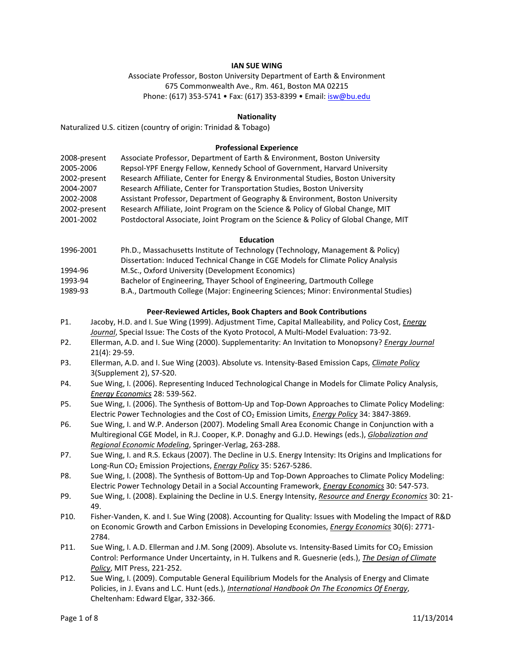## **IAN SUE WING**

Associate Professor, Boston University Department of Earth & Environment 675 Commonwealth Ave., Rm. 461, Boston MA 02215 Phone: (617) 353‐5741 • Fax: (617) 353‐8399 • Email: isw@bu.edu

#### **Nationality**

Naturalized U.S. citizen (country of origin: Trinidad & Tobago)

#### **Professional Experience**

| 2008-present | Associate Professor, Department of Earth & Environment, Boston University           |
|--------------|-------------------------------------------------------------------------------------|
| 2005-2006    | Repsol-YPF Energy Fellow, Kennedy School of Government, Harvard University          |
| 2002-present | Research Affiliate, Center for Energy & Environmental Studies, Boston University    |
| 2004-2007    | Research Affiliate, Center for Transportation Studies, Boston University            |
| 2002-2008    | Assistant Professor, Department of Geography & Environment, Boston University       |
| 2002-present | Research Affiliate, Joint Program on the Science & Policy of Global Change, MIT     |
| 2001-2002    | Postdoctoral Associate, Joint Program on the Science & Policy of Global Change, MIT |

#### **Education**

- 1996‐2001 Ph.D., Massachusetts Institute of Technology (Technology, Management & Policy) Dissertation: Induced Technical Change in CGE Models for Climate Policy Analysis
- 1994‐96 M.Sc., Oxford University (Development Economics)
- 1993‐94 Bachelor of Engineering, Thayer School of Engineering, Dartmouth College
- 1989‐93 B.A., Dartmouth College (Major: Engineering Sciences; Minor: Environmental Studies)

#### **Peer‐Reviewed Articles, Book Chapters and Book Contributions**

- P1. Jacoby, H.D. and I. Sue Wing (1999). Adjustment Time, Capital Malleability, and Policy Cost, *Energy Journal*, Special Issue: The Costs of the Kyoto Protocol, A Multi‐Model Evaluation: 73‐92.
- P2. Ellerman, A.D. and I. Sue Wing (2000). Supplementarity: An Invitation to Monopsony? *Energy Journal* 21(4): 29‐59.
- P3. Ellerman, A.D. and I. Sue Wing (2003). Absolute vs. Intensity‐Based Emission Caps, *Climate Policy* 3(Supplement 2), S7‐S20.
- P4. Sue Wing, I. (2006). Representing Induced Technological Change in Models for Climate Policy Analysis, *Energy Economics* 28: 539‐562.
- P5. Sue Wing, I. (2006). The Synthesis of Bottom‐Up and Top‐Down Approaches to Climate Policy Modeling: Electric Power Technologies and the Cost of CO2 Emission Limits, *Energy Policy* 34: 3847‐3869.
- P6. Sue Wing, I. and W.P. Anderson (2007). Modeling Small Area Economic Change in Conjunction with a Multiregional CGE Model, in R.J. Cooper, K.P. Donaghy and G.J.D. Hewings (eds.), *Globalization and Regional Economic Modeling*, Springer‐Verlag, 263‐288.
- P7. Sue Wing, I. and R.S. Eckaus (2007). The Decline in U.S. Energy Intensity: Its Origins and Implications for Long‐Run CO2 Emission Projections, *Energy Policy* 35: 5267‐5286.
- P8. Sue Wing, I. (2008). The Synthesis of Bottom‐Up and Top‐Down Approaches to Climate Policy Modeling: Electric Power Technology Detail in a Social Accounting Framework, *Energy Economics* 30: 547‐573.
- P9. Sue Wing, I. (2008). Explaining the Decline in U.S. Energy Intensity, *Resource and Energy Economics* 30: 21‐ 49.
- P10. Fisher‐Vanden, K. and I. Sue Wing (2008). Accounting for Quality: Issues with Modeling the Impact of R&D on Economic Growth and Carbon Emissions in Developing Economies, *Energy Economics* 30(6): 2771‐ 2784.
- P11. Sue Wing, I. A.D. Ellerman and J.M. Song (2009). Absolute vs. Intensity-Based Limits for CO<sub>2</sub> Emission Control: Performance Under Uncertainty, in H. Tulkens and R. Guesnerie (eds.), *The Design of Climate Policy*, MIT Press, 221‐252.
- P12. Sue Wing, I. (2009). Computable General Equilibrium Models for the Analysis of Energy and Climate Policies, in J. Evans and L.C. Hunt (eds.), *International Handbook On The Economics Of Energy*, Cheltenham: Edward Elgar, 332‐366.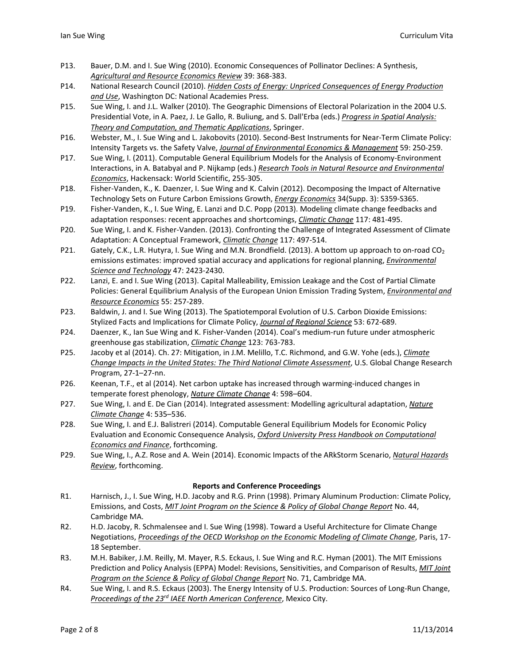- P13. Bauer, D.M. and I. Sue Wing (2010). Economic Consequences of Pollinator Declines: A Synthesis, *Agricultural and Resource Economics Review* 39: 368‐383.
- P14. National Research Council (2010). *Hidden Costs of Energy: Unpriced Consequences of Energy Production and Use*, Washington DC: National Academies Press.
- P15. Sue Wing, I. and J.L. Walker (2010). The Geographic Dimensions of Electoral Polarization in the 2004 U.S. Presidential Vote, in A. Paez, J. Le Gallo, R. Buliung, and S. Dall'Erba (eds.) *Progress in Spatial Analysis: Theory and Computation, and Thematic Applications*, Springer.
- P16. Webster, M., I. Sue Wing and L. Jakobovits (2010). Second-Best Instruments for Near-Term Climate Policy: Intensity Targets vs. the Safety Valve, *Journal of Environmental Economics & Management* 59: 250‐259.
- P17. Sue Wing, I. (2011). Computable General Equilibrium Models for the Analysis of Economy‐Environment Interactions, in A. Batabyal and P. Nijkamp (eds.) *Research Tools in Natural Resource and Environmental Economics*, Hackensack: World Scientific, 255‐305.
- P18. Fisher‐Vanden, K., K. Daenzer, I. Sue Wing and K. Calvin (2012). Decomposing the Impact of Alternative Technology Sets on Future Carbon Emissions Growth, *Energy Economics* 34(Supp. 3): S359‐S365.
- P19. Fisher‐Vanden, K., I. Sue Wing, E. Lanzi and D.C. Popp (2013). Modeling climate change feedbacks and adaptation responses: recent approaches and shortcomings, *Climatic Change* 117: 481‐495.
- P20. Sue Wing, I. and K. Fisher-Vanden. (2013). Confronting the Challenge of Integrated Assessment of Climate Adaptation: A Conceptual Framework, *Climatic Change* 117: 497‐514.
- P21. Gately, C.K., L.R. Hutyra, I. Sue Wing and M.N. Brondfield. (2013). A bottom up approach to on-road CO<sub>2</sub> emissions estimates: improved spatial accuracy and applications for regional planning, *Environmental Science and Technology* 47: 2423‐2430.
- P22. Lanzi, E. and I. Sue Wing (2013). Capital Malleability, Emission Leakage and the Cost of Partial Climate Policies: General Equilibrium Analysis of the European Union Emission Trading System, *Environmental and Resource Economics* 55: 257‐289.
- P23. Baldwin, J. and I. Sue Wing (2013). The Spatiotemporal Evolution of U.S. Carbon Dioxide Emissions: Stylized Facts and Implications for Climate Policy, *Journal of Regional Science* 53: 672‐689.
- P24. Daenzer, K., Ian Sue Wing and K. Fisher‐Vanden (2014). Coal's medium‐run future under atmospheric greenhouse gas stabilization, *Climatic Change* 123: 763‐783.
- P25. Jacoby et al (2014). Ch. 27: Mitigation, in J.M. Melillo, T.C. Richmond, and G.W. Yohe (eds.), *Climate Change Impacts in the United States: The Third National Climate Assessment*, U.S. Global Change Research Program, 27‐1–27‐nn.
- P26. Keenan, T.F., et al (2014). Net carbon uptake has increased through warming-induced changes in temperate forest phenology, *Nature Climate Change* 4: 598–604.
- P27. Sue Wing, I. and E. De Cian (2014). Integrated assessment: Modelling agricultural adaptation, *Nature Climate Change* 4: 535–536.
- P28. Sue Wing, I. and E.J. Balistreri (2014). Computable General Equilibrium Models for Economic Policy Evaluation and Economic Consequence Analysis, *Oxford University Press Handbook on Computational Economics and Finance*, forthcoming.
- P29. Sue Wing, I., A.Z. Rose and A. Wein (2014). Economic Impacts of the ARkStorm Scenario, *Natural Hazards Review*, forthcoming.

## **Reports and Conference Proceedings**

- R1. Harnisch, J., I. Sue Wing, H.D. Jacoby and R.G. Prinn (1998). Primary Aluminum Production: Climate Policy, Emissions, and Costs, *MIT Joint Program on the Science & Policy of Global Change Report* No. 44, Cambridge MA.
- R2. H.D. Jacoby, R. Schmalensee and I. Sue Wing (1998). Toward a Useful Architecture for Climate Change Negotiations, *Proceedings of the OECD Workshop on the Economic Modeling of Climate Change*, Paris, 17‐ 18 September.
- R3. M.H. Babiker, J.M. Reilly, M. Mayer, R.S. Eckaus, I. Sue Wing and R.C. Hyman (2001). The MIT Emissions Prediction and Policy Analysis (EPPA) Model: Revisions, Sensitivities, and Comparison of Results, *MIT Joint Program on the Science & Policy of Global Change Report* No. 71, Cambridge MA.
- R4. Sue Wing, I. and R.S. Eckaus (2003). The Energy Intensity of U.S. Production: Sources of Long-Run Change, *Proceedings of the 23rd IAEE North American Conference*, Mexico City.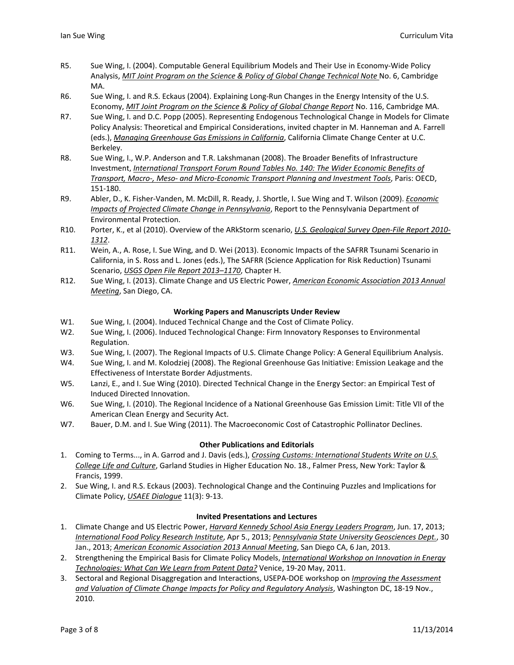- R5. Sue Wing, I. (2004). Computable General Equilibrium Models and Their Use in Economy-Wide Policy Analysis, *MIT Joint Program on the Science & Policy of Global Change Technical Note* No. 6, Cambridge MA.
- R6. Sue Wing, I. and R.S. Eckaus (2004). Explaining Long-Run Changes in the Energy Intensity of the U.S. Economy, *MIT Joint Program on the Science & Policy of Global Change Report* No. 116, Cambridge MA.
- R7. Sue Wing, I. and D.C. Popp (2005). Representing Endogenous Technological Change in Models for Climate Policy Analysis: Theoretical and Empirical Considerations, invited chapter in M. Hanneman and A. Farrell (eds.), *Managing Greenhouse Gas Emissions in California*, California Climate Change Center at U.C. Berkeley.
- R8. Sue Wing, I., W.P. Anderson and T.R. Lakshmanan (2008). The Broader Benefits of Infrastructure Investment, *International Transport Forum Round Tables No. 140: The Wider Economic Benefits of Transport, Macro‐, Meso‐ and Micro‐Economic Transport Planning and Investment Tools*, Paris: OECD, 151‐180.
- R9. Abler, D., K. Fisher‐Vanden, M. McDill, R. Ready, J. Shortle, I. Sue Wing and T. Wilson (2009). *Economic Impacts of Projected Climate Change in Pennsylvania*, Report to the Pennsylvania Department of Environmental Protection.
- R10. Porter, K., et al (2010). Overview of the ARkStorm scenario, *U.S. Geological Survey Open‐File Report 2010‐ 1312*.
- R11. Wein, A., A. Rose, I. Sue Wing, and D. Wei (2013). Economic Impacts of the SAFRR Tsunami Scenario in California, in S. Ross and L. Jones (eds.), The SAFRR (Science Application for Risk Reduction) Tsunami Scenario, *USGS Open File Report 2013–1170*, Chapter H.
- R12. Sue Wing, I. (2013). Climate Change and US Electric Power, *American Economic Association 2013 Annual Meeting*, San Diego, CA.

## **Working Papers and Manuscripts Under Review**

- W1. Sue Wing, I. (2004). Induced Technical Change and the Cost of Climate Policy.
- W2. Sue Wing, I. (2006). Induced Technological Change: Firm Innovatory Responses to Environmental Regulation.
- W3. Sue Wing, I. (2007). The Regional Impacts of U.S. Climate Change Policy: A General Equilibrium Analysis.
- W4. Sue Wing, I. and M. Kolodziej (2008). The Regional Greenhouse Gas Initiative: Emission Leakage and the Effectiveness of Interstate Border Adjustments.
- W5. Lanzi, E., and I. Sue Wing (2010). Directed Technical Change in the Energy Sector: an Empirical Test of Induced Directed Innovation.
- W6. Sue Wing, I. (2010). The Regional Incidence of a National Greenhouse Gas Emission Limit: Title VII of the American Clean Energy and Security Act.
- W7. Bauer, D.M. and I. Sue Wing (2011). The Macroeconomic Cost of Catastrophic Pollinator Declines.

#### **Other Publications and Editorials**

- 1. Coming to Terms..., in A. Garrod and J. Davis (eds.), *Crossing Customs: International Students Write on U.S. College Life and Culture*, Garland Studies in Higher Education No. 18., Falmer Press, New York: Taylor & Francis, 1999.
- 2. Sue Wing, I. and R.S. Eckaus (2003). Technological Change and the Continuing Puzzles and Implications for Climate Policy, *USAEE Dialogue* 11(3): 9‐13.

### **Invited Presentations and Lectures**

- 1. Climate Change and US Electric Power, *Harvard Kennedy School Asia Energy Leaders Program*, Jun. 17, 2013; *International Food Policy Research Institute*, Apr 5., 2013; *Pennsylvania State University Geosciences Dept.*, 30 Jan., 2013; *American Economic Association 2013 Annual Meeting*, San Diego CA, 6 Jan, 2013.
- 2. Strengthening the Empirical Basis for Climate Policy Models, *International Workshop on Innovation in Energy Technologies: What Can We Learn from Patent Data?* Venice, 19‐20 May, 2011.
- 3. Sectoral and Regional Disaggregation and Interactions, USEPA‐DOE workshop on *Improving the Assessment and Valuation of Climate Change Impacts for Policy and Regulatory Analysis*, Washington DC, 18‐19 Nov., 2010.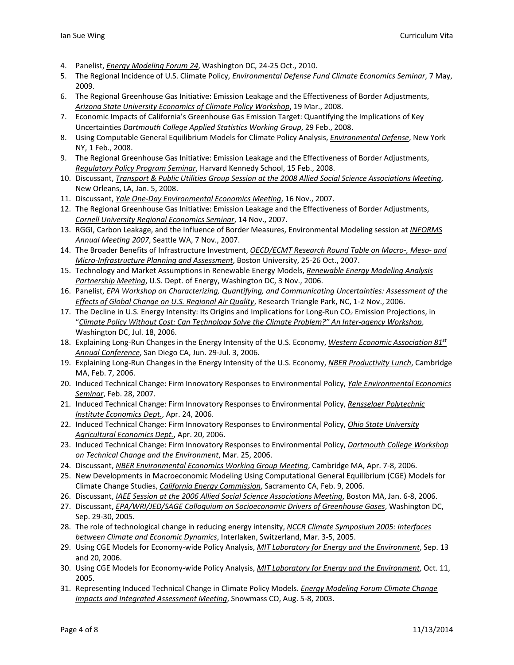- 4. Panelist, *Energy Modeling Forum 24*, Washington DC, 24‐25 Oct., 2010.
- 5. The Regional Incidence of U.S. Climate Policy, *Environmental Defense Fund Climate Economics Seminar*, 7 May, 2009.
- 6. The Regional Greenhouse Gas Initiative: Emission Leakage and the Effectiveness of Border Adjustments, *Arizona State University Economics of Climate Policy Workshop*, 19 Mar., 2008.
- 7. Economic Impacts of California's Greenhouse Gas Emission Target: Quantifying the Implications of Key Uncertainties *Dartmouth College Applied Statistics Working Group*, 29 Feb., 2008.
- 8. Using Computable General Equilibrium Models for Climate Policy Analysis, *Environmental Defense*, New York NY, 1 Feb., 2008.
- 9. The Regional Greenhouse Gas Initiative: Emission Leakage and the Effectiveness of Border Adjustments, *Regulatory Policy Program Seminar*, Harvard Kennedy School, 15 Feb., 2008.
- 10. Discussant, *Transport & Public Utilities Group Session at the 2008 Allied Social Science Associations Meeting*, New Orleans, LA, Jan. 5, 2008.
- 11. Discussant, *Yale One‐Day Environmental Economics Meeting*, 16 Nov., 2007.
- 12. The Regional Greenhouse Gas Initiative: Emission Leakage and the Effectiveness of Border Adjustments, *Cornell University Regional Economics Seminar*, 14 Nov., 2007.
- 13. RGGI, Carbon Leakage, and the Influence of Border Measures, Environmental Modeling session at *INFORMS Annual Meeting 2007*, Seattle WA, 7 Nov., 2007.
- 14. The Broader Benefits of Infrastructure Investment, *OECD/ECMT Research Round Table on Macro‐, Meso‐ and Micro‐Infrastructure Planning and Assessment*, Boston University, 25‐26 Oct., 2007.
- 15. Technology and Market Assumptions in Renewable Energy Models, *Renewable Energy Modeling Analysis Partnership Meeting*, U.S. Dept. of Energy, Washington DC, 3 Nov., 2006.
- 16. Panelist, *EPA Workshop on Characterizing, Quantifying, and Communicating Uncertainties: Assessment of the Effects of Global Change on U.S. Regional Air Quality*, Research Triangle Park, NC, 1‐2 Nov., 2006.
- 17. The Decline in U.S. Energy Intensity: Its Origins and Implications for Long-Run CO<sub>2</sub> Emission Projections, in "*Climate Policy Without Cost: Can Technology Solve the Climate Problem?" An Inter‐agency Workshop*, Washington DC, Jul. 18, 2006.
- 18. Explaining Long‐Run Changes in the Energy Intensity of the U.S. Economy, *Western Economic Association 81st Annual Conference*, San Diego CA, Jun. 29‐Jul. 3, 2006.
- 19. Explaining Long‐Run Changes in the Energy Intensity of the U.S. Economy, *NBER Productivity Lunch*, Cambridge MA, Feb. 7, 2006.
- 20. Induced Technical Change: Firm Innovatory Responses to Environmental Policy, *Yale Environmental Economics Seminar*, Feb. 28, 2007.
- 21. Induced Technical Change: Firm Innovatory Responses to Environmental Policy, *Rensselaer Polytechnic Institute Economics Dept.*, Apr. 24, 2006.
- 22. Induced Technical Change: Firm Innovatory Responses to Environmental Policy, *Ohio State University Agricultural Economics Dept.*, Apr. 20, 2006.
- 23. Induced Technical Change: Firm Innovatory Responses to Environmental Policy, *Dartmouth College Workshop on Technical Change and the Environment*, Mar. 25, 2006.
- 24. Discussant, *NBER Environmental Economics Working Group Meeting*, Cambridge MA, Apr. 7‐8, 2006.
- 25. New Developments in Macroeconomic Modeling Using Computational General Equilibrium (CGE) Models for Climate Change Studies, *California Energy Commission*, Sacramento CA, Feb. 9, 2006.
- 26. Discussant, *IAEE Session at the 2006 Allied Social Science Associations Meeting*, Boston MA, Jan. 6‐8, 2006.
- 27. Discussant, *EPA/WRI/JED/SAGE Colloquium on Socioeconomic Drivers of Greenhouse Gases*, Washington DC, Sep. 29‐30, 2005.
- 28. The role of technological change in reducing energy intensity, *NCCR Climate Symposium 2005: Interfaces between Climate and Economic Dynamics*, Interlaken, Switzerland, Mar. 3‐5, 2005.
- 29. Using CGE Models for Economy‐wide Policy Analysis, *MIT Laboratory for Energy and the Environment*, Sep. 13 and 20, 2006.
- 30. Using CGE Models for Economy‐wide Policy Analysis, *MIT Laboratory for Energy and the Environment*, Oct. 11, 2005.
- 31. Representing Induced Technical Change in Climate Policy Models. *Energy Modeling Forum Climate Change Impacts and Integrated Assessment Meeting*, Snowmass CO, Aug. 5‐8, 2003.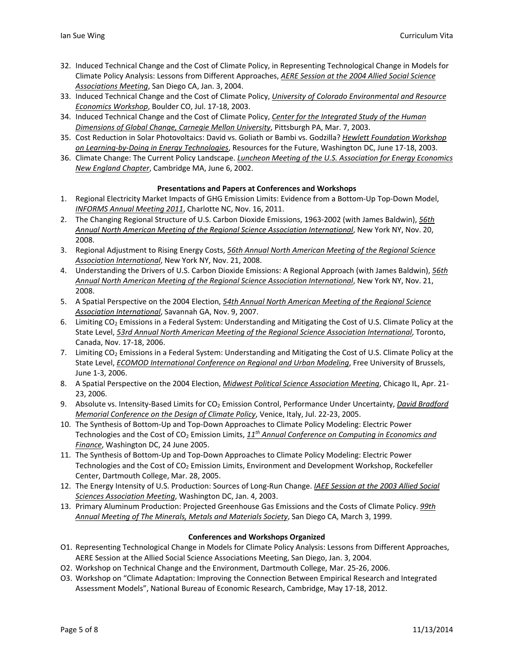- 32. Induced Technical Change and the Cost of Climate Policy, in Representing Technological Change in Models for Climate Policy Analysis: Lessons from Different Approaches, *AERE Session at the 2004 Allied Social Science Associations Meeting*, San Diego CA, Jan. 3, 2004.
- 33. Induced Technical Change and the Cost of Climate Policy, *University of Colorado Environmental and Resource Economics Workshop*, Boulder CO, Jul. 17‐18, 2003.
- 34. Induced Technical Change and the Cost of Climate Policy, *Center for the Integrated Study of the Human Dimensions of Global Change, Carnegie Mellon University*, Pittsburgh PA, Mar. 7, 2003.
- 35. Cost Reduction in Solar Photovoltaics: David vs. Goliath or Bambi vs. Godzilla? *Hewlett Foundation Workshop on Learning‐by‐Doing in Energy Technologies*, Resources for the Future, Washington DC, June 17‐18, 2003.
- 36. Climate Change: The Current Policy Landscape. *Luncheon Meeting of the U.S. Association for Energy Economics New England Chapter*, Cambridge MA, June 6, 2002.

## **Presentations and Papers at Conferences and Workshops**

- 1. Regional Electricity Market Impacts of GHG Emission Limits: Evidence from a Bottom‐Up Top‐Down Model, *INFORMS Annual Meeting 2011*, Charlotte NC, Nov. 16, 2011.
- 2. The Changing Regional Structure of U.S. Carbon Dioxide Emissions, 1963‐2002 (with James Baldwin), *56th Annual North American Meeting of the Regional Science Association International*, New York NY, Nov. 20, 2008.
- 3. Regional Adjustment to Rising Energy Costs, *56th Annual North American Meeting of the Regional Science Association International*, New York NY, Nov. 21, 2008.
- 4. Understanding the Drivers of U.S. Carbon Dioxide Emissions: A Regional Approach (with James Baldwin), *56th Annual North American Meeting of the Regional Science Association International*, New York NY, Nov. 21, 2008.
- 5. A Spatial Perspective on the 2004 Election, *54th Annual North American Meeting of the Regional Science Association International*, Savannah GA, Nov. 9, 2007.
- 6. Limiting CO<sub>2</sub> Emissions in a Federal System: Understanding and Mitigating the Cost of U.S. Climate Policy at the State Level, *53rd Annual North American Meeting of the Regional Science Association International*, Toronto, Canada, Nov. 17‐18, 2006.
- 7. Limiting CO<sub>2</sub> Emissions in a Federal System: Understanding and Mitigating the Cost of U.S. Climate Policy at the State Level, *ECOMOD International Conference on Regional and Urban Modeling*, Free University of Brussels, June 1‐3, 2006.
- 8. A Spatial Perspective on the 2004 Election, *Midwest Political Science Association Meeting*, Chicago IL, Apr. 21‐ 23, 2006.
- 9. Absolute vs. Intensity‐Based Limits for CO2 Emission Control, Performance Under Uncertainty, *David Bradford Memorial Conference on the Design of Climate Policy*, Venice, Italy, Jul. 22‐23, 2005.
- 10. The Synthesis of Bottom‐Up and Top‐Down Approaches to Climate Policy Modeling: Electric Power Technologies and the Cost of CO2 Emission Limits, *11th Annual Conference on Computing in Economics and Finance*, Washington DC, 24 June 2005.
- 11. The Synthesis of Bottom‐Up and Top‐Down Approaches to Climate Policy Modeling: Electric Power Technologies and the Cost of  $CO<sub>2</sub>$  Emission Limits, Environment and Development Workshop, Rockefeller Center, Dartmouth College, Mar. 28, 2005.
- 12. The Energy Intensity of U.S. Production: Sources of Long‐Run Change. *IAEE Session at the 2003 Allied Social Sciences Association Meeting*, Washington DC, Jan. 4, 2003.
- 13. Primary Aluminum Production: Projected Greenhouse Gas Emissions and the Costs of Climate Policy. *99th Annual Meeting of The Minerals, Metals and Materials Society*, San Diego CA, March 3, 1999.

#### **Conferences and Workshops Organized**

- O1. Representing Technological Change in Models for Climate Policy Analysis: Lessons from Different Approaches, AERE Session at the Allied Social Science Associations Meeting, San Diego, Jan. 3, 2004.
- O2. Workshop on Technical Change and the Environment, Dartmouth College, Mar. 25‐26, 2006.
- O3. Workshop on "Climate Adaptation: Improving the Connection Between Empirical Research and Integrated Assessment Models", National Bureau of Economic Research, Cambridge, May 17‐18, 2012.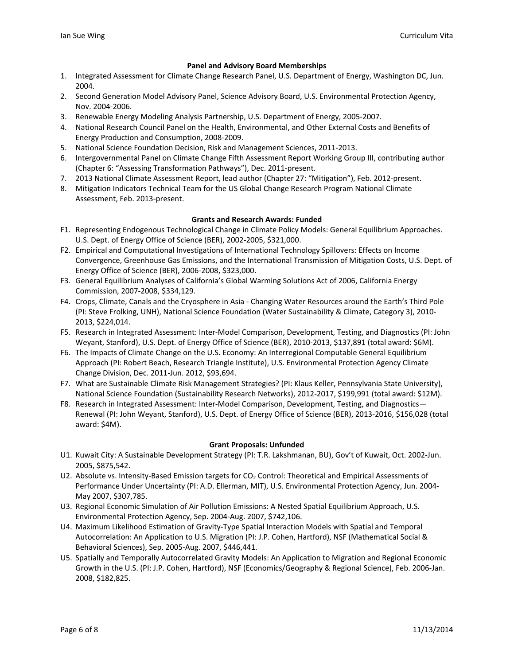## **Panel and Advisory Board Memberships**

- 1. Integrated Assessment for Climate Change Research Panel, U.S. Department of Energy, Washington DC, Jun. 2004.
- 2. Second Generation Model Advisory Panel, Science Advisory Board, U.S. Environmental Protection Agency, Nov. 2004‐2006.
- 3. Renewable Energy Modeling Analysis Partnership, U.S. Department of Energy, 2005‐2007.
- 4. National Research Council Panel on the Health, Environmental, and Other External Costs and Benefits of Energy Production and Consumption, 2008‐2009.
- 5. National Science Foundation Decision, Risk and Management Sciences, 2011‐2013.
- 6. Intergovernmental Panel on Climate Change Fifth Assessment Report Working Group III, contributing author (Chapter 6: "Assessing Transformation Pathways"), Dec. 2011‐present.
- 7. 2013 National Climate Assessment Report, lead author (Chapter 27: "Mitigation"), Feb. 2012‐present.
- 8. Mitigation Indicators Technical Team for the US Global Change Research Program National Climate Assessment, Feb. 2013‐present.

#### **Grants and Research Awards: Funded**

- F1. Representing Endogenous Technological Change in Climate Policy Models: General Equilibrium Approaches. U.S. Dept. of Energy Office of Science (BER), 2002‐2005, \$321,000.
- F2. Empirical and Computational Investigations of International Technology Spillovers: Effects on Income Convergence, Greenhouse Gas Emissions, and the International Transmission of Mitigation Costs, U.S. Dept. of Energy Office of Science (BER), 2006‐2008, \$323,000.
- F3. General Equilibrium Analyses of California's Global Warming Solutions Act of 2006, California Energy Commission, 2007‐2008, \$334,129.
- F4. Crops, Climate, Canals and the Cryosphere in Asia ‐ Changing Water Resources around the Earth's Third Pole (PI: Steve Frolking, UNH), National Science Foundation (Water Sustainability & Climate, Category 3), 2010‐ 2013, \$224,014.
- F5. Research in Integrated Assessment: Inter‐Model Comparison, Development, Testing, and Diagnostics (PI: John Weyant, Stanford), U.S. Dept. of Energy Office of Science (BER), 2010‐2013, \$137,891 (total award: \$6M).
- F6. The Impacts of Climate Change on the U.S. Economy: An Interregional Computable General Equilibrium Approach (PI: Robert Beach, Research Triangle Institute), U.S. Environmental Protection Agency Climate Change Division, Dec. 2011‐Jun. 2012, \$93,694.
- F7. What are Sustainable Climate Risk Management Strategies? (PI: Klaus Keller, Pennsylvania State University), National Science Foundation (Sustainability Research Networks), 2012‐2017, \$199,991 (total award: \$12M).
- F8. Research in Integrated Assessment: Inter-Model Comparison, Development, Testing, and Diagnostics— Renewal (PI: John Weyant, Stanford), U.S. Dept. of Energy Office of Science (BER), 2013-2016, \$156,028 (total award: \$4M).

#### **Grant Proposals: Unfunded**

- U1. Kuwait City: A Sustainable Development Strategy (PI: T.R. Lakshmanan, BU), Gov't of Kuwait, Oct. 2002‐Jun. 2005, \$875,542.
- U2. Absolute vs. Intensity-Based Emission targets for CO<sub>2</sub> Control: Theoretical and Empirical Assessments of Performance Under Uncertainty (PI: A.D. Ellerman, MIT), U.S. Environmental Protection Agency, Jun. 2004‐ May 2007, \$307,785.
- U3. Regional Economic Simulation of Air Pollution Emissions: A Nested Spatial Equilibrium Approach, U.S. Environmental Protection Agency, Sep. 2004‐Aug. 2007, \$742,106.
- U4. Maximum Likelihood Estimation of Gravity‐Type Spatial Interaction Models with Spatial and Temporal Autocorrelation: An Application to U.S. Migration (PI: J.P. Cohen, Hartford), NSF (Mathematical Social & Behavioral Sciences), Sep. 2005‐Aug. 2007, \$446,441.
- U5. Spatially and Temporally Autocorrelated Gravity Models: An Application to Migration and Regional Economic Growth in the U.S. (PI: J.P. Cohen, Hartford), NSF (Economics/Geography & Regional Science), Feb. 2006‐Jan. 2008, \$182,825.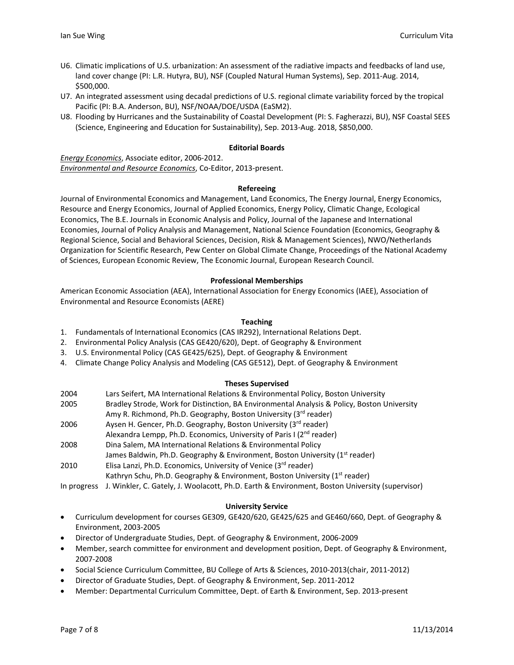- U6. Climatic implications of U.S. urbanization: An assessment of the radiative impacts and feedbacks of land use, land cover change (PI: L.R. Hutyra, BU), NSF (Coupled Natural Human Systems), Sep. 2011‐Aug. 2014, \$500,000.
- U7. An integrated assessment using decadal predictions of U.S. regional climate variability forced by the tropical Pacific (PI: B.A. Anderson, BU), NSF/NOAA/DOE/USDA (EaSM2).
- U8. Flooding by Hurricanes and the Sustainability of Coastal Development (PI: S. Fagherazzi, BU), NSF Coastal SEES (Science, Engineering and Education for Sustainability), Sep. 2013‐Aug. 2018, \$850,000.

#### **Editorial Boards**

*Energy Economics*, Associate editor, 2006‐2012. *Environmental and Resource Economics*, Co‐Editor, 2013‐present.

#### **Refereeing**

Journal of Environmental Economics and Management, Land Economics, The Energy Journal, Energy Economics, Resource and Energy Economics, Journal of Applied Economics, Energy Policy, Climatic Change, Ecological Economics, The B.E. Journals in Economic Analysis and Policy, Journal of the Japanese and International Economies, Journal of Policy Analysis and Management, National Science Foundation (Economics, Geography & Regional Science, Social and Behavioral Sciences, Decision, Risk & Management Sciences), NWO/Netherlands Organization for Scientific Research, Pew Center on Global Climate Change, Proceedings of the National Academy of Sciences, European Economic Review, The Economic Journal, European Research Council.

#### **Professional Memberships**

American Economic Association (AEA), International Association for Energy Economics (IAEE), Association of Environmental and Resource Economists (AERE)

#### **Teaching**

- 1. Fundamentals of International Economics (CAS IR292), International Relations Dept.
- 2. Environmental Policy Analysis (CAS GE420/620), Dept. of Geography & Environment
- 3. U.S. Environmental Policy (CAS GE425/625), Dept. of Geography & Environment
- 4. Climate Change Policy Analysis and Modeling (CAS GE512), Dept. of Geography & Environment

#### **Theses Supervised**

- 2004 Lars Seifert, MA International Relations & Environmental Policy, Boston University
- 2005 Bradley Strode, Work for Distinction, BA Environmental Analysis & Policy, Boston University
- Amy R. Richmond, Ph.D. Geography, Boston University (3rd reader)
- 2006 Aysen H. Gencer, Ph.D. Geography, Boston University (3<sup>rd</sup> reader)
- Alexandra Lempp, Ph.D. Economics, University of Paris I (2<sup>nd</sup> reader)
- 2008 Dina Salem, MA International Relations & Environmental Policy James Baldwin, Ph.D. Geography & Environment, Boston University (1<sup>st</sup> reader)
- 2010 Elisa Lanzi, Ph.D. Economics, University of Venice (3<sup>rd</sup> reader) Kathryn Schu, Ph.D. Geography & Environment, Boston University (1<sup>st</sup> reader)

In progress J. Winkler, C. Gately, J. Woolacott, Ph.D. Earth & Environment, Boston University (supervisor)

# **University Service**

- Curriculum development for courses GE309, GE420/620, GE425/625 and GE460/660, Dept. of Geography & Environment, 2003‐2005
- Director of Undergraduate Studies, Dept. of Geography & Environment, 2006‐2009
- Member, search committee for environment and development position, Dept. of Geography & Environment, 2007‐2008
- Social Science Curriculum Committee, BU College of Arts & Sciences, 2010‐2013(chair, 2011‐2012)
- Director of Graduate Studies, Dept. of Geography & Environment, Sep. 2011‐2012
- Member: Departmental Curriculum Committee, Dept. of Earth & Environment, Sep. 2013‐present